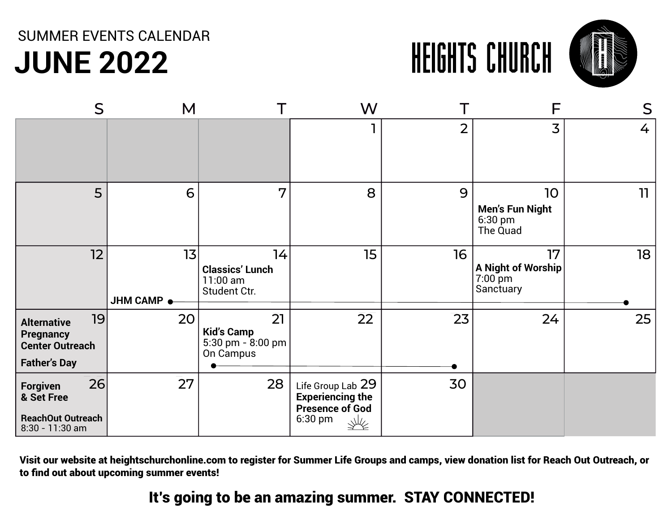## **JUNE 2022** SUMMER EVENTS CALENDAR



| S                                                                                             | M                |                                                           | W                                                                                      |                |                                                     | S  |
|-----------------------------------------------------------------------------------------------|------------------|-----------------------------------------------------------|----------------------------------------------------------------------------------------|----------------|-----------------------------------------------------|----|
|                                                                                               |                  |                                                           |                                                                                        | $\overline{2}$ | 3                                                   | 4  |
| 5                                                                                             | 6                | 7                                                         | 8                                                                                      | 9              | 10<br><b>Men's Fun Night</b><br>6:30 pm<br>The Quad | 11 |
| 12                                                                                            | 13<br>JHM CAMP . | 14<br><b>Classics' Lunch</b><br>11:00 am<br>Student Ctr.  | 15 <sub>15</sub>                                                                       | 16             | 17<br>A Night of Worship<br>7:00 pm<br>Sanctuary    | 18 |
| 19<br><b>Alternative</b><br><b>Pregnancy</b><br><b>Center Outreach</b><br><b>Father's Day</b> | 20               | 21<br><b>Kid's Camp</b><br>5:30 pm - 8:00 pm<br>On Campus | 22                                                                                     | 23             | 24                                                  | 25 |
| 26<br>Forgiven<br>& Set Free<br><b>ReachOut Outreach</b><br>8:30 - 11:30 am                   | 27               | 28                                                        | Life Group Lab 29<br><b>Experiencing the</b><br><b>Presence of God</b><br>6:30 pm<br>派 | 30             |                                                     |    |

Visit our website at heightschurchonline.com to register for Summer Life Groups and camps, view donation list for Reach Out Outreach, or to find out about upcoming summer events!

#### It's going to be an amazing summer. STAY CONNECTED!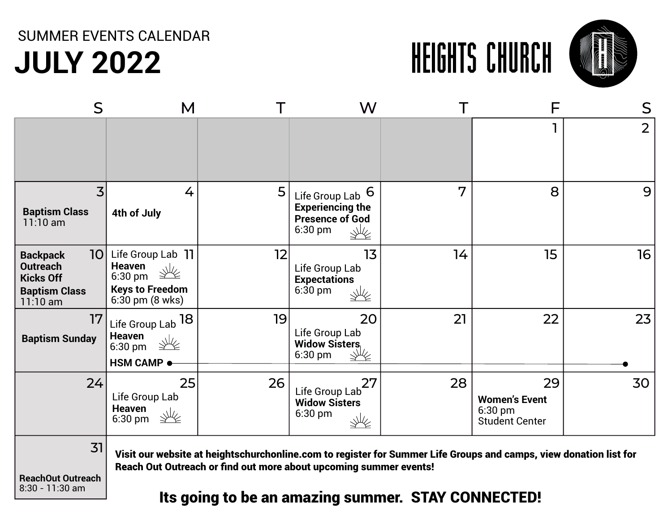## **JULY 2022** SUMMER EVENTS CALENDAR





| S                                                                                                               | M                                                                                                                                                        |    | W                                                                                |    | F                                                                                                                 | S              |
|-----------------------------------------------------------------------------------------------------------------|----------------------------------------------------------------------------------------------------------------------------------------------------------|----|----------------------------------------------------------------------------------|----|-------------------------------------------------------------------------------------------------------------------|----------------|
|                                                                                                                 |                                                                                                                                                          |    |                                                                                  |    |                                                                                                                   | $\overline{2}$ |
| 3<br><b>Baptism Class</b><br>$11:10$ am                                                                         | 4<br>4th of July                                                                                                                                         | 5  | Life Group Lab 6<br><b>Experiencing the</b><br><b>Presence of God</b><br>6:30 pm | 7  | 8                                                                                                                 | 9              |
| 10 <sup>1</sup><br><b>Backpack</b><br><b>Outreach</b><br><b>Kicks Off</b><br><b>Baptism Class</b><br>$11:10$ am | Life Group Lab 11<br><b>Heaven</b><br>$\mathcal{W}$<br>$6:30$ pm<br>$\overline{\text{g}}$<br><b>Keys to Freedom</b><br>$6:30 \text{ pm} (8 \text{ wks})$ | 12 | 13<br>Life Group Lab<br><b>Expectations</b><br>$6:30$ pm<br>₩∕∠                  | 14 | 15                                                                                                                | 16             |
| 17<br><b>Baptism Sunday</b>                                                                                     | Life Group Lab <sup>18</sup><br><b>Heaven</b><br>6:30 pm<br>$\overline{\text{g}}$<br><b>HSM CAMP ●</b>                                                   | 19 | 20<br>Life Group Lab<br><b>Widow Sisters</b><br>$6:30$ pm                        | 21 | 22                                                                                                                | 23             |
| 24                                                                                                              | 25<br>Life Group Lab<br><b>Heaven</b><br>不<br>$6:30$ pm                                                                                                  | 26 | 27<br>Life Group Lab<br><b>Widow Sisters</b><br>$6:30$ pm<br>₩≰                  | 28 | 29<br><b>Women's Event</b><br>$6:30$ pm<br><b>Student Center</b>                                                  | 30             |
| 31                                                                                                              |                                                                                                                                                          |    | Reach Out Outreach or find out more about upcoming summer events!                |    | Visit our website at heightschurchonline.com to register for Summer Life Groups and camps, view donation list for |                |

**ReachOut Outreach** 8:30 - 11:30 am

#### Its going to be an amazing summer. STAY CONNECTED!